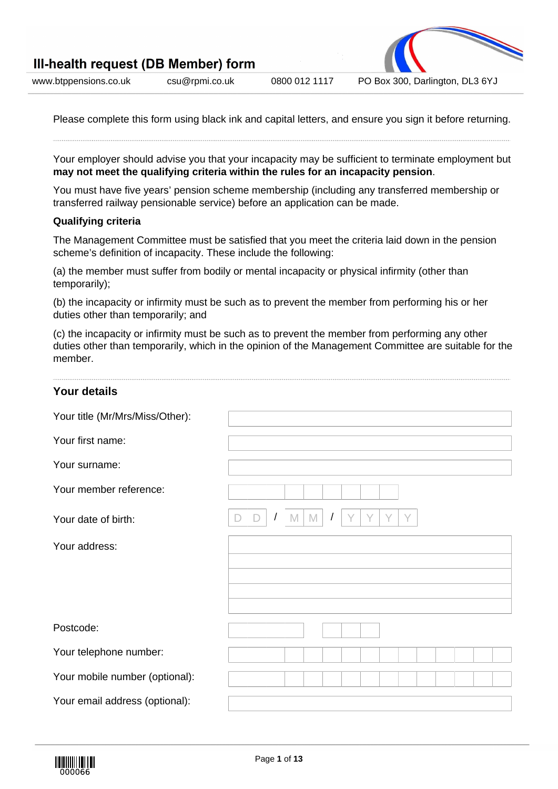

Please complete this form using black ink and capital letters, and ensure you sign it before returning.

Your employer should advise you that your incapacity may be sufficient to terminate employment but **may not meet the qualifying criteria within the rules for an incapacity pension**.

You must have five years' pension scheme membership (including any transferred membership or transferred railway pensionable service) before an application can be made.

### **Qualifying criteria**

The Management Committee must be satisfied that you meet the criteria laid down in the pension scheme's definition of incapacity. These include the following:

(a) the member must suffer from bodily or mental incapacity or physical infirmity (other than temporarily);

(b) the incapacity or infirmity must be such as to prevent the member from performing his or her duties other than temporarily; and

(c) the incapacity or infirmity must be such as to prevent the member from performing any other duties other than temporarily, which in the opinion of the Management Committee are suitable for the member.

| <b>Your details</b>                                                  |  |  |  |  |  |  |  |  |  |  |  |
|----------------------------------------------------------------------|--|--|--|--|--|--|--|--|--|--|--|
| Your title (Mr/Mrs/Miss/Other):                                      |  |  |  |  |  |  |  |  |  |  |  |
| Your first name:                                                     |  |  |  |  |  |  |  |  |  |  |  |
| Your surname:                                                        |  |  |  |  |  |  |  |  |  |  |  |
| Your member reference:                                               |  |  |  |  |  |  |  |  |  |  |  |
| M<br>Y<br>Y<br>M<br>Your date of birth:<br>$\prime$<br>$\prime$<br>ш |  |  |  |  |  |  |  |  |  |  |  |
| Your address:                                                        |  |  |  |  |  |  |  |  |  |  |  |
|                                                                      |  |  |  |  |  |  |  |  |  |  |  |
|                                                                      |  |  |  |  |  |  |  |  |  |  |  |
|                                                                      |  |  |  |  |  |  |  |  |  |  |  |
| Postcode:                                                            |  |  |  |  |  |  |  |  |  |  |  |
| Your telephone number:                                               |  |  |  |  |  |  |  |  |  |  |  |
| Your mobile number (optional):                                       |  |  |  |  |  |  |  |  |  |  |  |
| Your email address (optional):                                       |  |  |  |  |  |  |  |  |  |  |  |

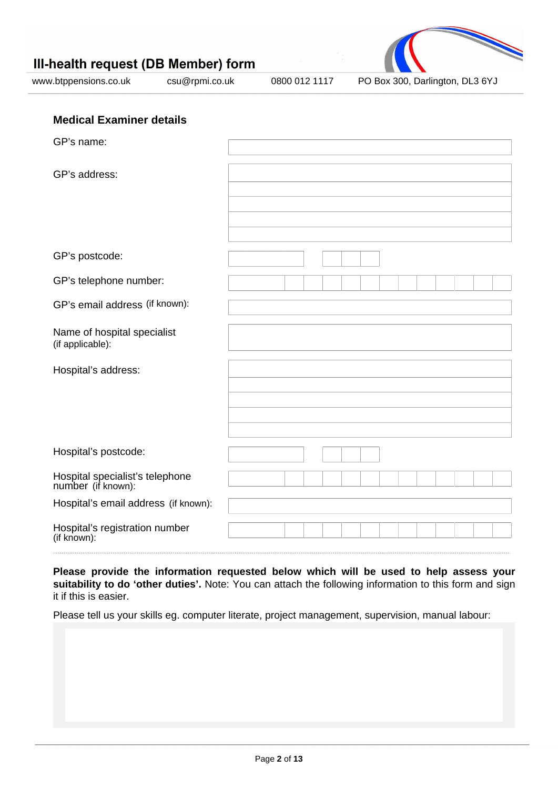

| GP's name:                                            |  |  |  |  |  |  |  |
|-------------------------------------------------------|--|--|--|--|--|--|--|
| GP's address:                                         |  |  |  |  |  |  |  |
|                                                       |  |  |  |  |  |  |  |
|                                                       |  |  |  |  |  |  |  |
| GP's postcode:                                        |  |  |  |  |  |  |  |
| GP's telephone number:                                |  |  |  |  |  |  |  |
| GP's email address (if known):                        |  |  |  |  |  |  |  |
| Name of hospital specialist<br>(if applicable):       |  |  |  |  |  |  |  |
| Hospital's address:                                   |  |  |  |  |  |  |  |
|                                                       |  |  |  |  |  |  |  |
|                                                       |  |  |  |  |  |  |  |
| Hospital's postcode:                                  |  |  |  |  |  |  |  |
| Hospital specialist's telephone<br>number (if known): |  |  |  |  |  |  |  |
| Hospital's email address (if known):                  |  |  |  |  |  |  |  |
| Hospital's registration number<br>(if known):         |  |  |  |  |  |  |  |

**Please provide the information requested below which will be used to help assess your suitability to do 'other duties'.** Note: You can attach the following information to this form and sign it if this is easier.

Please tell us your skills eg. computer literate, project management, supervision, manual labour: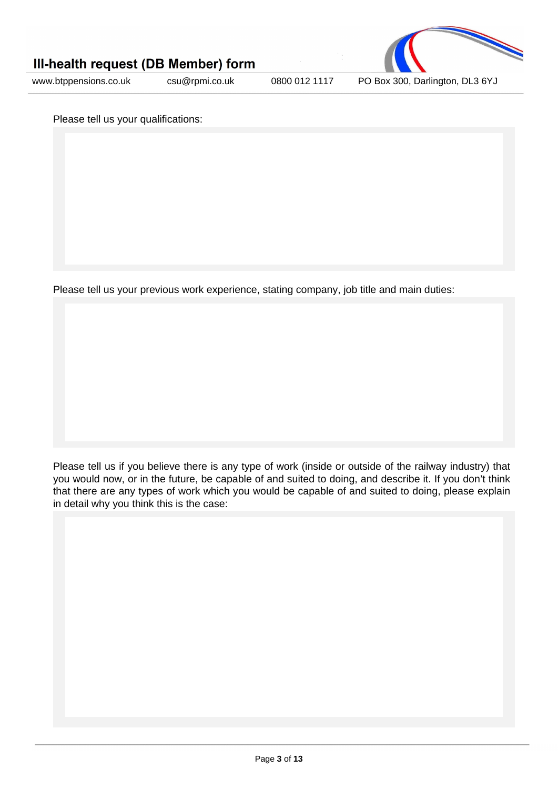



Please tell us your qualifications:

Please tell us your previous work experience, stating company, job title and main duties:

Please tell us if you believe there is any type of work (inside or outside of the railway industry) that you would now, or in the future, be capable of and suited to doing, and describe it. If you don't think that there are any types of work which you would be capable of and suited to doing, please explain in detail why you think this is the case: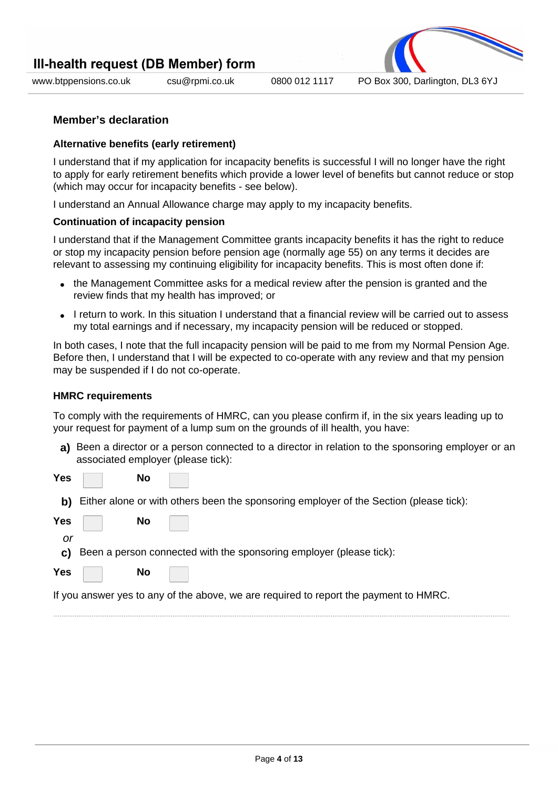

www.btppensions.co.uk csu@rpmi.co.uk 0800 012 1117 PO Box 300, Darlington, DL3 6YJ

### **Member's declaration**

#### **Alternative benefits (early retirement)**

I understand that if my application for incapacity benefits is successful I will no longer have the right to apply for early retirement benefits which provide a lower level of benefits but cannot reduce or stop (which may occur for incapacity benefits - see below).

I understand an Annual Allowance charge may apply to my incapacity benefits.

#### **Continuation of incapacity pension**

I understand that if the Management Committee grants incapacity benefits it has the right to reduce or stop my incapacity pension before pension age (normally age 55) on any terms it decides are relevant to assessing my continuing eligibility for incapacity benefits. This is most often done if:

- the Management Committee asks for a medical review after the pension is granted and the review finds that my health has improved; or
- I return to work. In this situation I understand that a financial review will be carried out to assess my total earnings and if necessary, my incapacity pension will be reduced or stopped.

In both cases, I note that the full incapacity pension will be paid to me from my Normal Pension Age. Before then, I understand that I will be expected to co-operate with any review and that my pension may be suspended if I do not co-operate.

#### **HMRC requirements**

To comply with the requirements of HMRC, can you please confirm if, in the six years leading up to your request for payment of a lump sum on the grounds of ill health, you have:

**a)** Been a director or a person connected to a director in relation to the sponsoring employer or an associated employer (please tick):

**Yes No**

- **b)** Either alone or with others been the sponsoring employer of the Section (please tick):
- **Yes No**

or

**c)** Been a person connected with the sponsoring employer (please tick):



If you answer yes to any of the above, we are required to report the payment to HMRC.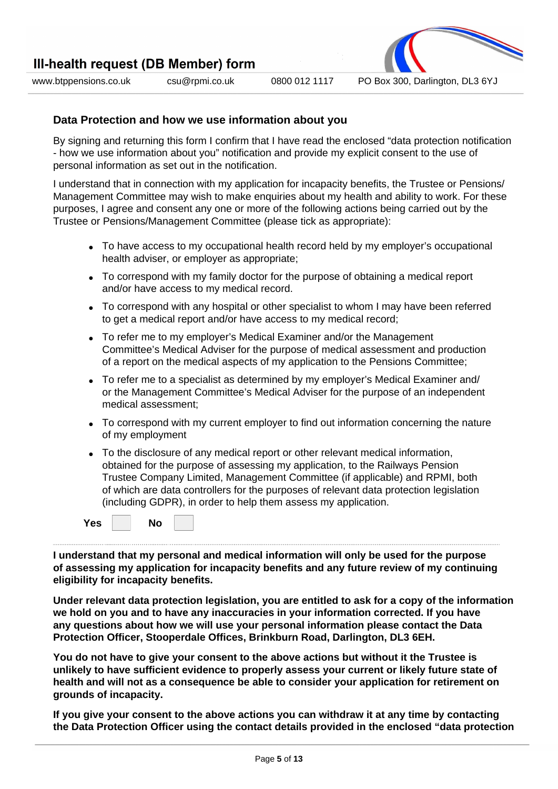



# **Data Protection and how we use information about you**

By signing and returning this form I confirm that I have read the enclosed "data protection notification - how we use information about you" notification and provide my explicit consent to the use of personal information as set out in the notification.

I understand that in connection with my application for incapacity benefits, the Trustee or Pensions/ Management Committee may wish to make enquiries about my health and ability to work. For these purposes, I agree and consent any one or more of the following actions being carried out by the Trustee or Pensions/Management Committee (please tick as appropriate):

- To have access to my occupational health record held by my employer's occupational health adviser, or employer as appropriate;
- To correspond with my family doctor for the purpose of obtaining a medical report and/or have access to my medical record.
- To correspond with any hospital or other specialist to whom I may have been referred to get a medical report and/or have access to my medical record;
- To refer me to my employer's Medical Examiner and/or the Management Committee's Medical Adviser for the purpose of medical assessment and production of a report on the medical aspects of my application to the Pensions Committee;
- To refer me to a specialist as determined by my employer's Medical Examiner and/ or the Management Committee's Medical Adviser for the purpose of an independent medical assessment;
- To correspond with my current employer to find out information concerning the nature of my employment
- To the disclosure of any medical report or other relevant medical information, obtained for the purpose of assessing my application, to the Railways Pension Trustee Company Limited, Management Committee (if applicable) and RPMI, both of which are data controllers for the purposes of relevant data protection legislation (including GDPR), in order to help them assess my application.

**Yes No**

**I understand that my personal and medical information will only be used for the purpose of assessing my application for incapacity benefits and any future review of my continuing eligibility for incapacity benefits.**

**Under relevant data protection legislation, you are entitled to ask for a copy of the information we hold on you and to have any inaccuracies in your information corrected. If you have any questions about how we will use your personal information please contact the Data Protection Officer, Stooperdale Offices, Brinkburn Road, Darlington, DL3 6EH.**

**You do not have to give your consent to the above actions but without it the Trustee is unlikely to have sufficient evidence to properly assess your current or likely future state of health and will not as a consequence be able to consider your application for retirement on grounds of incapacity.**

**If you give your consent to the above actions you can withdraw it at any time by contacting the Data Protection Officer using the contact details provided in the enclosed "data protection**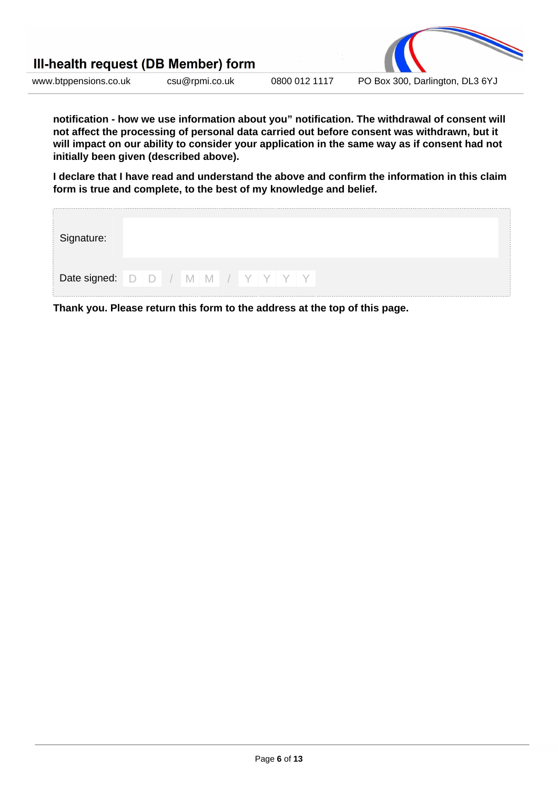

**notification - how we use information about you" notification. The withdrawal of consent will not affect the processing of personal data carried out before consent was withdrawn, but it will impact on our ability to consider your application in the same way as if consent had not initially been given (described above).**

**I declare that I have read and understand the above and confirm the information in this claim form is true and complete, to the best of my knowledge and belief.**

| Signature:                       |  |  |  |  |  |  |
|----------------------------------|--|--|--|--|--|--|
| Date signed: D D / M M / Y Y Y Y |  |  |  |  |  |  |

**Thank you. Please return this form to the address at the top of this page.**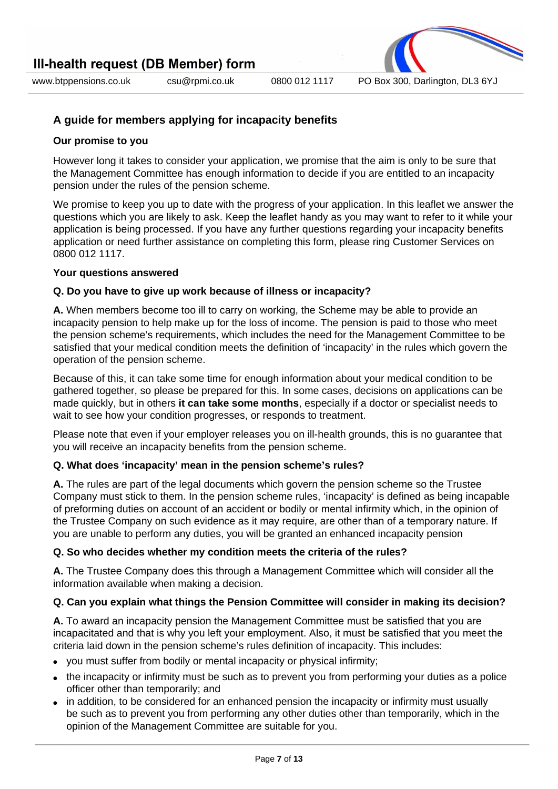**A guide for members applying for incapacity benefits**

### **Our promise to you**

However long it takes to consider your application, we promise that the aim is only to be sure that the Management Committee has enough information to decide if you are entitled to an incapacity pension under the rules of the pension scheme.

We promise to keep you up to date with the progress of your application. In this leaflet we answer the questions which you are likely to ask. Keep the leaflet handy as you may want to refer to it while your application is being processed. If you have any further questions regarding your incapacity benefits application or need further assistance on completing this form, please ring Customer Services on 0800 012 1117.

### **Your questions answered**

### **Q. Do you have to give up work because of illness or incapacity?**

**A.** When members become too ill to carry on working, the Scheme may be able to provide an incapacity pension to help make up for the loss of income. The pension is paid to those who meet the pension scheme's requirements, which includes the need for the Management Committee to be satisfied that your medical condition meets the definition of 'incapacity' in the rules which govern the operation of the pension scheme.

Because of this, it can take some time for enough information about your medical condition to be gathered together, so please be prepared for this. In some cases, decisions on applications can be made quickly, but in others **it can take some months**, especially if a doctor or specialist needs to wait to see how your condition progresses, or responds to treatment.

Please note that even if your employer releases you on ill-health grounds, this is no guarantee that you will receive an incapacity benefits from the pension scheme.

### **Q. What does 'incapacity' mean in the pension scheme's rules?**

**A.** The rules are part of the legal documents which govern the pension scheme so the Trustee Company must stick to them. In the pension scheme rules, 'incapacity' is defined as being incapable of preforming duties on account of an accident or bodily or mental infirmity which, in the opinion of the Trustee Company on such evidence as it may require, are other than of a temporary nature. If you are unable to perform any duties, you will be granted an enhanced incapacity pension

### **Q. So who decides whether my condition meets the criteria of the rules?**

**A.** The Trustee Company does this through a Management Committee which will consider all the information available when making a decision.

### **Q. Can you explain what things the Pension Committee will consider in making its decision?**

**A.** To award an incapacity pension the Management Committee must be satisfied that you are incapacitated and that is why you left your employment. Also, it must be satisfied that you meet the criteria laid down in the pension scheme's rules definition of incapacity. This includes:

- you must suffer from bodily or mental incapacity or physical infirmity;
- the incapacity or infirmity must be such as to prevent you from performing your duties as a police officer other than temporarily; and
- in addition, to be considered for an enhanced pension the incapacity or infirmity must usually be such as to prevent you from performing any other duties other than temporarily, which in the opinion of the Management Committee are suitable for you.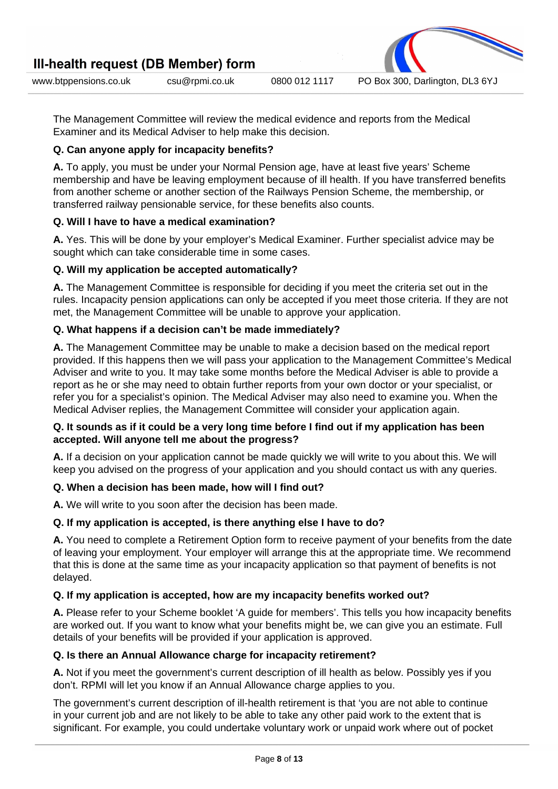www.btppensions.co.uk csu@rpmi.co.uk 0800 012 1117 PO Box 300, Darlington, DL3 6YJ

The Management Committee will review the medical evidence and reports from the Medical Examiner and its Medical Adviser to help make this decision.

### **Q. Can anyone apply for incapacity benefits?**

**A.** To apply, you must be under your Normal Pension age, have at least five years' Scheme membership and have be leaving employment because of ill health. If you have transferred benefits from another scheme or another section of the Railways Pension Scheme, the membership, or transferred railway pensionable service, for these benefits also counts.

# **Q. Will I have to have a medical examination?**

**A.** Yes. This will be done by your employer's Medical Examiner. Further specialist advice may be sought which can take considerable time in some cases.

# **Q. Will my application be accepted automatically?**

**A.** The Management Committee is responsible for deciding if you meet the criteria set out in the rules. Incapacity pension applications can only be accepted if you meet those criteria. If they are not met, the Management Committee will be unable to approve your application.

# **Q. What happens if a decision can't be made immediately?**

**A.** The Management Committee may be unable to make a decision based on the medical report provided. If this happens then we will pass your application to the Management Committee's Medical Adviser and write to you. It may take some months before the Medical Adviser is able to provide a report as he or she may need to obtain further reports from your own doctor or your specialist, or refer you for a specialist's opinion. The Medical Adviser may also need to examine you. When the Medical Adviser replies, the Management Committee will consider your application again.

### **Q. It sounds as if it could be a very long time before I find out if my application has been accepted. Will anyone tell me about the progress?**

**A.** If a decision on your application cannot be made quickly we will write to you about this. We will keep you advised on the progress of your application and you should contact us with any queries.

### **Q. When a decision has been made, how will I find out?**

**A.** We will write to you soon after the decision has been made.

### **Q. If my application is accepted, is there anything else I have to do?**

**A.** You need to complete a Retirement Option form to receive payment of your benefits from the date of leaving your employment. Your employer will arrange this at the appropriate time. We recommend that this is done at the same time as your incapacity application so that payment of benefits is not delayed.

# **Q. If my application is accepted, how are my incapacity benefits worked out?**

**A.** Please refer to your Scheme booklet 'A guide for members'. This tells you how incapacity benefits are worked out. If you want to know what your benefits might be, we can give you an estimate. Full details of your benefits will be provided if your application is approved.

### **Q. Is there an Annual Allowance charge for incapacity retirement?**

**A.** Not if you meet the government's current description of ill health as below. Possibly yes if you don't. RPMI will let you know if an Annual Allowance charge applies to you.

The government's current description of ill-health retirement is that 'you are not able to continue in your current job and are not likely to be able to take any other paid work to the extent that is significant. For example, you could undertake voluntary work or unpaid work where out of pocket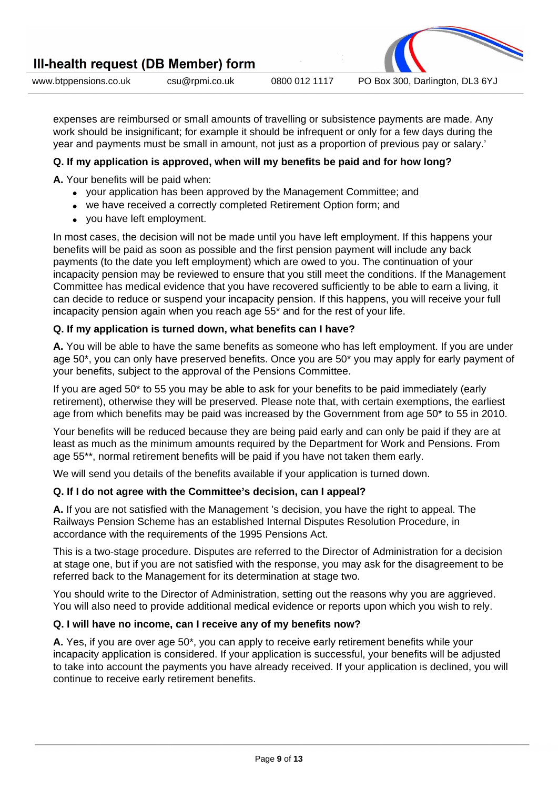

expenses are reimbursed or small amounts of travelling or subsistence payments are made. Any work should be insignificant; for example it should be infrequent or only for a few days during the year and payments must be small in amount, not just as a proportion of previous pay or salary.'

# **Q. If my application is approved, when will my benefits be paid and for how long?**

**A.** Your benefits will be paid when:

- vour application has been approved by the Management Committee; and
- we have received a correctly completed Retirement Option form; and
- you have left employment.

In most cases, the decision will not be made until you have left employment. If this happens your benefits will be paid as soon as possible and the first pension payment will include any back payments (to the date you left employment) which are owed to you. The continuation of your incapacity pension may be reviewed to ensure that you still meet the conditions. If the Management Committee has medical evidence that you have recovered sufficiently to be able to earn a living, it can decide to reduce or suspend your incapacity pension. If this happens, you will receive your full incapacity pension again when you reach age 55\* and for the rest of your life.

# **Q. If my application is turned down, what benefits can I have?**

**A.** You will be able to have the same benefits as someone who has left employment. If you are under age 50\*, you can only have preserved benefits. Once you are 50\* you may apply for early payment of your benefits, subject to the approval of the Pensions Committee.

If you are aged 50\* to 55 you may be able to ask for your benefits to be paid immediately (early retirement), otherwise they will be preserved. Please note that, with certain exemptions, the earliest age from which benefits may be paid was increased by the Government from age 50\* to 55 in 2010.

Your benefits will be reduced because they are being paid early and can only be paid if they are at least as much as the minimum amounts required by the Department for Work and Pensions. From age 55\*\*, normal retirement benefits will be paid if you have not taken them early.

We will send you details of the benefits available if your application is turned down.

### **Q. If I do not agree with the Committee's decision, can I appeal?**

**A.** If you are not satisfied with the Management 's decision, you have the right to appeal. The Railways Pension Scheme has an established Internal Disputes Resolution Procedure, in accordance with the requirements of the 1995 Pensions Act.

This is a two-stage procedure. Disputes are referred to the Director of Administration for a decision at stage one, but if you are not satisfied with the response, you may ask for the disagreement to be referred back to the Management for its determination at stage two.

You should write to the Director of Administration, setting out the reasons why you are aggrieved. You will also need to provide additional medical evidence or reports upon which you wish to rely.

### **Q. I will have no income, can I receive any of my benefits now?**

**A.** Yes, if you are over age 50\*, you can apply to receive early retirement benefits while your incapacity application is considered. If your application is successful, your benefits will be adjusted to take into account the payments you have already received. If your application is declined, you will continue to receive early retirement benefits.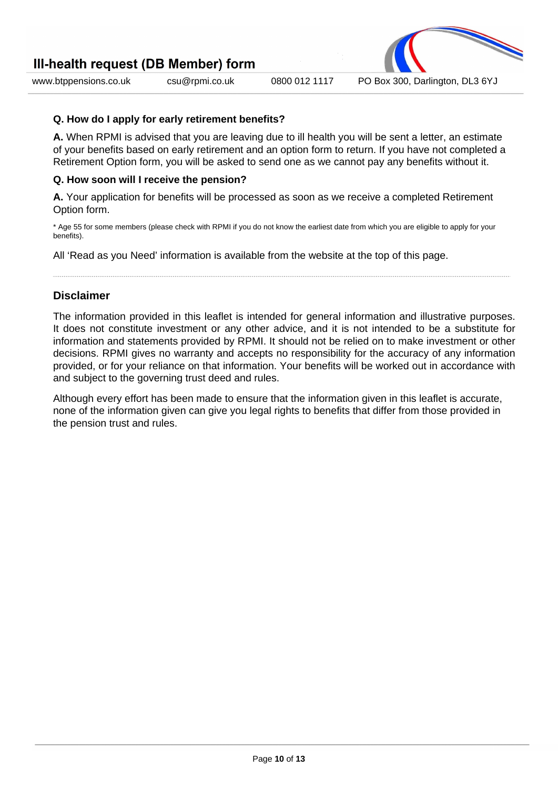www.btppensions.co.uk csu@rpmi.co.uk 0800 012 1117 PO Box 300, Darlington, DL3 6YJ

### **Q. How do I apply for early retirement benefits?**

**A.** When RPMI is advised that you are leaving due to ill health you will be sent a letter, an estimate of your benefits based on early retirement and an option form to return. If you have not completed a Retirement Option form, you will be asked to send one as we cannot pay any benefits without it.

# **Q. How soon will I receive the pension?**

**A.** Your application for benefits will be processed as soon as we receive a completed Retirement Option form.

\* Age 55 for some members (please check with RPMI if you do not know the earliest date from which you are eligible to apply for your benefits).

All 'Read as you Need' information is available from the website at the top of this page.

# **Disclaimer**

The information provided in this leaflet is intended for general information and illustrative purposes. It does not constitute investment or any other advice, and it is not intended to be a substitute for information and statements provided by RPMI. It should not be relied on to make investment or other decisions. RPMI gives no warranty and accepts no responsibility for the accuracy of any information provided, or for your reliance on that information. Your benefits will be worked out in accordance with and subject to the governing trust deed and rules.

Although every effort has been made to ensure that the information given in this leaflet is accurate, none of the information given can give you legal rights to benefits that differ from those provided in the pension trust and rules.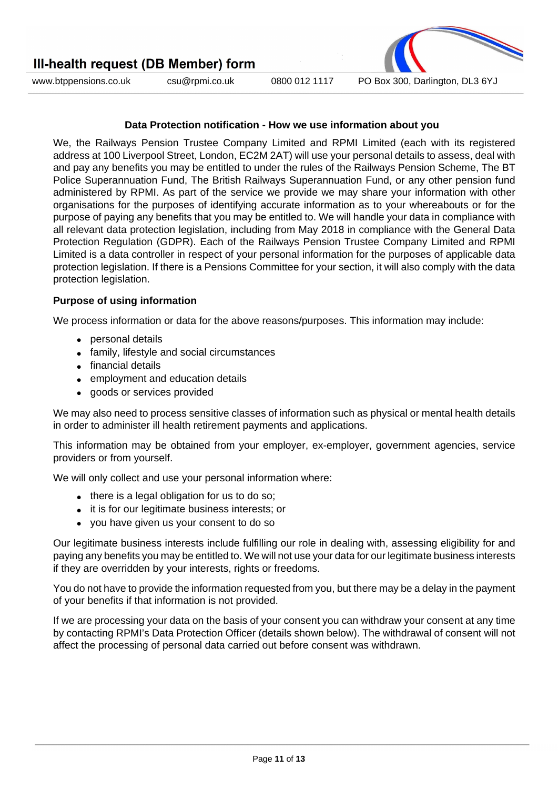

www.btppensions.co.uk csu@rpmi.co.uk 0800 012 1117 PO Box 300, Darlington, DL3 6YJ

#### **Data Protection notification - How we use information about you**

We, the Railways Pension Trustee Company Limited and RPMI Limited (each with its registered address at 100 Liverpool Street, London, EC2M 2AT) will use your personal details to assess, deal with and pay any benefits you may be entitled to under the rules of the Railways Pension Scheme, The BT Police Superannuation Fund, The British Railways Superannuation Fund, or any other pension fund administered by RPMI. As part of the service we provide we may share your information with other organisations for the purposes of identifying accurate information as to your whereabouts or for the purpose of paying any benefits that you may be entitled to. We will handle your data in compliance with all relevant data protection legislation, including from May 2018 in compliance with the General Data Protection Regulation (GDPR). Each of the Railways Pension Trustee Company Limited and RPMI Limited is a data controller in respect of your personal information for the purposes of applicable data protection legislation. If there is a Pensions Committee for your section, it will also comply with the data protection legislation.

#### **Purpose of using information**

We process information or data for the above reasons/purposes. This information may include:

- personal details
- family, lifestyle and social circumstances
- financial details
- employment and education details
- goods or services provided

We may also need to process sensitive classes of information such as physical or mental health details in order to administer ill health retirement payments and applications.

This information may be obtained from your employer, ex-employer, government agencies, service providers or from yourself.

We will only collect and use your personal information where:

- there is a legal obligation for us to do so;
- it is for our legitimate business interests; or
- you have given us your consent to do so

Our legitimate business interests include fulfilling our role in dealing with, assessing eligibility for and paying any benefits you may be entitled to. We will not use your data for our legitimate business interests if they are overridden by your interests, rights or freedoms.

You do not have to provide the information requested from you, but there may be a delay in the payment of your benefits if that information is not provided.

If we are processing your data on the basis of your consent you can withdraw your consent at any time by contacting RPMI's Data Protection Officer (details shown below). The withdrawal of consent will not affect the processing of personal data carried out before consent was withdrawn.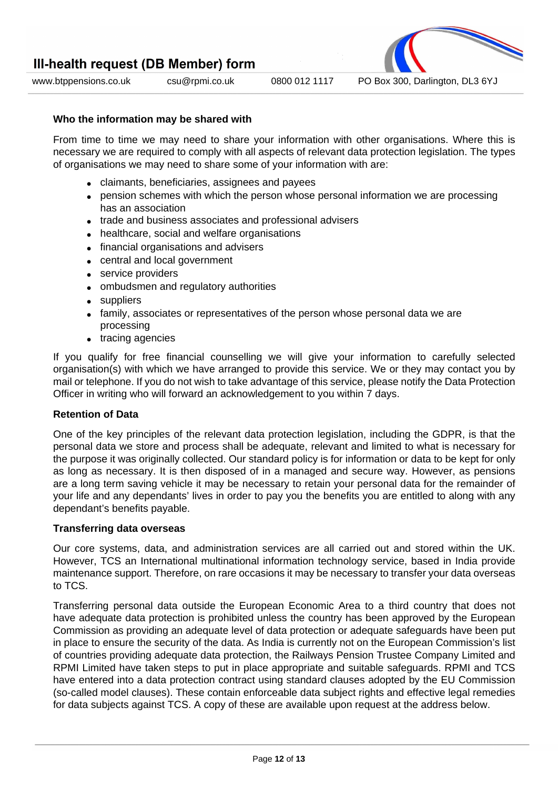

www.btppensions.co.uk csu@rpmi.co.uk 0800 012 1117 PO Box 300, Darlington, DL3 6YJ

#### **Who the information may be shared with**

From time to time we may need to share your information with other organisations. Where this is necessary we are required to comply with all aspects of relevant data protection legislation. The types of organisations we may need to share some of your information with are:

- claimants, beneficiaries, assignees and payees
- pension schemes with which the person whose personal information we are processing has an association
- trade and business associates and professional advisers
- healthcare, social and welfare organisations
- financial organisations and advisers
- central and local government
- service providers
- ombudsmen and regulatory authorities
- suppliers
- family, associates or representatives of the person whose personal data we are processing
- tracing agencies

If you qualify for free financial counselling we will give your information to carefully selected organisation(s) with which we have arranged to provide this service. We or they may contact you by mail or telephone. If you do not wish to take advantage of this service, please notify the Data Protection Officer in writing who will forward an acknowledgement to you within 7 days.

#### **Retention of Data**

One of the key principles of the relevant data protection legislation, including the GDPR, is that the personal data we store and process shall be adequate, relevant and limited to what is necessary for the purpose it was originally collected. Our standard policy is for information or data to be kept for only as long as necessary. It is then disposed of in a managed and secure way. However, as pensions are a long term saving vehicle it may be necessary to retain your personal data for the remainder of your life and any dependants' lives in order to pay you the benefits you are entitled to along with any dependant's benefits payable.

#### **Transferring data overseas**

Our core systems, data, and administration services are all carried out and stored within the UK. However, TCS an International multinational information technology service, based in India provide maintenance support. Therefore, on rare occasions it may be necessary to transfer your data overseas to TCS.

Transferring personal data outside the European Economic Area to a third country that does not have adequate data protection is prohibited unless the country has been approved by the European Commission as providing an adequate level of data protection or adequate safeguards have been put in place to ensure the security of the data. As India is currently not on the European Commission's list of countries providing adequate data protection, the Railways Pension Trustee Company Limited and RPMI Limited have taken steps to put in place appropriate and suitable safeguards. RPMI and TCS have entered into a data protection contract using standard clauses adopted by the EU Commission (so-called model clauses). These contain enforceable data subject rights and effective legal remedies for data subjects against TCS. A copy of these are available upon request at the address below.